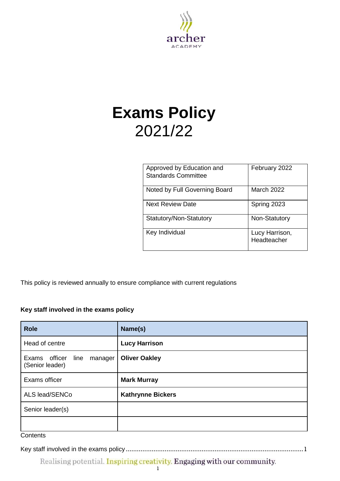

# **Exams Policy** 2021/22

| Approved by Education and<br><b>Standards Committee</b> | February 2022                 |
|---------------------------------------------------------|-------------------------------|
| Noted by Full Governing Board                           | <b>March 2022</b>             |
| <b>Next Review Date</b>                                 | Spring 2023                   |
| Statutory/Non-Statutory                                 | Non-Statutory                 |
| Key Individual                                          | Lucy Harrison,<br>Headteacher |

This policy is reviewed annually to ensure compliance with current regulations

# <span id="page-0-0"></span>**Key staff involved in the exams policy**

| Name(s)                  |
|--------------------------|
| <b>Lucy Harrison</b>     |
| <b>Oliver Oakley</b>     |
| <b>Mark Murray</b>       |
| <b>Kathrynne Bickers</b> |
|                          |
|                          |
|                          |

#### **Contents**

Key staff involved in the exams policy [................................................................................................1](#page-0-0)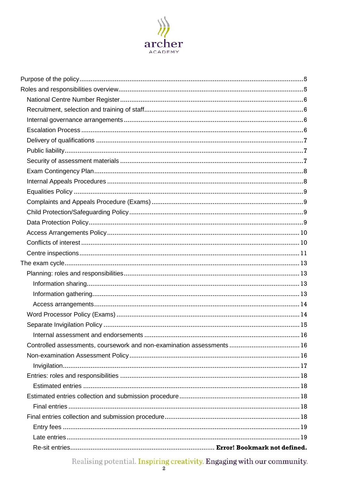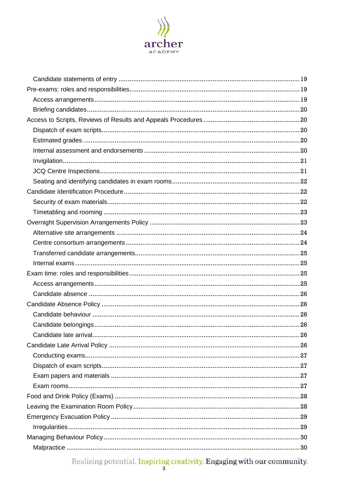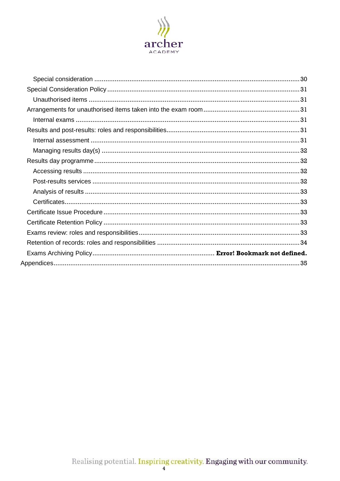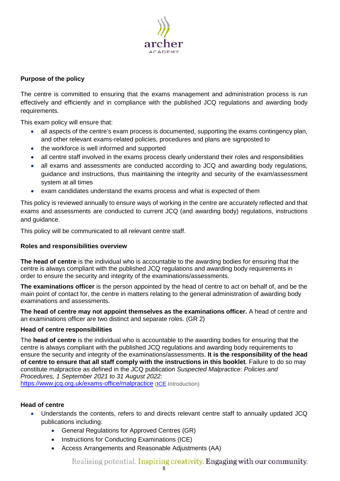

## <span id="page-4-0"></span>**Purpose of the policy**

The centre is committed to ensuring that the exams management and administration process is run effectively and efficiently and in compliance with the published JCQ regulations and awarding body requirements.

This exam policy will ensure that:

- all aspects of the centre's exam process is documented, supporting the exams contingency plan, and other relevant exams-related policies, procedures and plans are signposted to
- the workforce is well informed and supported
- all centre staff involved in the exams process clearly understand their roles and responsibilities
- all exams and assessments are conducted according to JCQ and awarding body regulations, guidance and instructions, thus maintaining the integrity and security of the exam/assessment system at all times
- exam candidates understand the exams process and what is expected of them

This policy is reviewed annually to ensure ways of working in the centre are accurately reflected and that exams and assessments are conducted to current JCQ (and awarding body) regulations, instructions and guidance.

This policy will be communicated to all relevant centre staff.

## <span id="page-4-1"></span>**Roles and responsibilities overview**

**The head of centre** is the individual who is accountable to the awarding bodies for ensuring that the centre is always compliant with the published JCQ regulations and awarding body requirements in order to ensure the security and integrity of the examinations/assessments.

**The examinations officer** is the person appointed by the head of centre to act on behalf of, and be the main point of contact for, the centre in matters relating to the general administration of awarding body examinations and assessments.

**The head of centre may not appoint themselves as the examinations officer.** A head of centre and an examinations officer are two distinct and separate roles. [\(GR](http://www.jcq.org.uk/exams-office/general-regulations) 2)

## **Head of centre responsibilities**

The **head of centre** is the individual who is accountable to the awarding bodies for ensuring that the centre is always compliant with the published JCQ regulations and awarding body requirements to ensure the security and integrity of the examinations/assessments. **It is the responsibility of the head of centre to ensure that all staff comply with the instructions in this booklet**. Failure to do so may constitute malpractice as defined in the JCQ publication *Suspected Malpractice: Policies and Procedures, 1 September 2021 to 31 August 2022:*  <https://www.jcq.org.uk/exams-office/malpractice> [\(ICE](http://www.jcq.org.uk/exams-office/ice---instructions-for-conducting-examinations) Introduction)

## **Head of centre**

- Understands the contents, refers to and directs relevant centre staff to annually updated JCQ publications including:
	- [General Regulations for Approved Centres](http://www.jcq.org.uk/exams-office/general-regulations) (GR)
	- [Instructions for Conducting Examinations](http://www.jcq.org.uk/exams-office/ice---instructions-for-conducting-examinations) (ICE)
	- [Access Arrangements and Reasonable Adjustments](http://www.jcq.org.uk/exams-office/access-arrangements-and-special-consideration/regulations-and-guidance) (AA)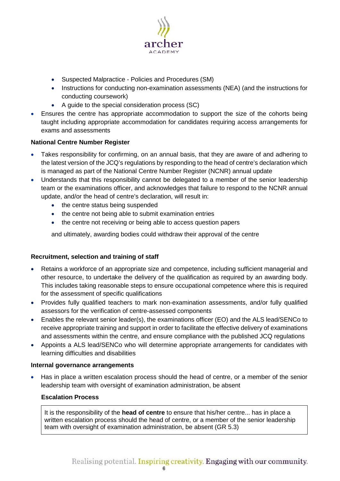

- Suspected Malpractice [Policies and Procedures](http://www.jcq.org.uk/exams-office/malpractice) (SM)
- Instructions for [conducting non-examination assessments](http://www.jcq.org.uk/exams-office/non-examination-assessments) (NEA) (and the instructions for conducting coursework)
- [A guide to the special consideration process](http://www.jcq.org.uk/exams-office/access-arrangements-and-special-consideration/regulations-and-guidance) (SC)
- Ensures the centre has appropriate accommodation to support the size of the cohorts being taught including appropriate accommodation for candidates requiring access arrangements for exams and assessments

# <span id="page-5-0"></span>**National Centre Number Register**

- Takes responsibility for confirming, on an annual basis, that they are aware of and adhering to the latest version of the JCQ's regulations by responding to the head of centre's declaration which is managed as part of the National Centre Number Register (NCNR) annual update
- Understands that this responsibility cannot be delegated to a member of the senior leadership team or the examinations officer, and acknowledges that failure to respond to the NCNR annual update, and/or the head of centre's declaration, will result in:
	- the centre status being suspended
	- the centre not being able to submit examination entries
	- the centre not receiving or being able to access question papers

and ultimately, awarding bodies could withdraw their approval of the centre

## <span id="page-5-1"></span>**Recruitment, selection and training of staff**

- Retains a workforce of an appropriate size and competence, including sufficient managerial and other resource, to undertake the delivery of the qualification as required by an awarding body. This includes taking reasonable steps to ensure occupational competence where this is required for the assessment of specific qualifications
- Provides fully qualified teachers to mark non-examination assessments, and/or fully qualified assessors for the verification of centre-assessed components
- Enables the relevant senior leader(s), the examinations officer (EO) and the ALS lead/SENCo to receive appropriate training and support in order to facilitate the effective delivery of examinations and assessments within the centre, and ensure compliance with the published JCQ regulations
- Appoints a ALS lead/SENCo who will determine appropriate arrangements for candidates with learning difficulties and disabilities

## <span id="page-5-2"></span>**Internal governance arrangements**

<span id="page-5-3"></span>• Has in place a written escalation process should the head of centre, or a member of the senior leadership team with oversight of examination administration, be absent

## **Escalation Process**

It is the responsibility of the **head of centre** to ensure that his/her centre... has in place a written escalation process should the head of centre, or a member of the senior leadership team with oversight of examination administration, be absent [\(GR](http://www.jcq.org.uk/exams-office/general-regulations) 5.3)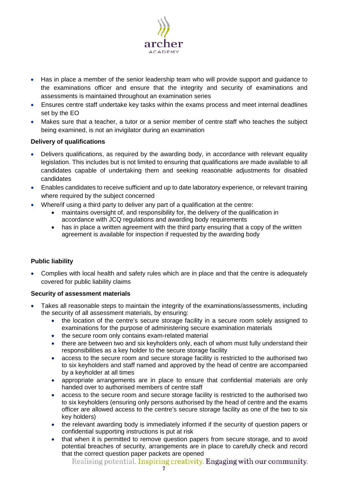

- Has in place a member of the senior leadership team who will provide support and guidance to the examinations officer and ensure that the integrity and security of examinations and assessments is maintained throughout an examination series
- Ensures centre staff undertake key tasks within the exams process and meet internal deadlines set by the EO
- Makes sure that a teacher, a tutor or a senior member of centre staff who teaches the subject being examined, is not an invigilator during an examination

## <span id="page-6-0"></span>**Delivery of qualifications**

- Delivers qualifications, as required by the awarding body, in accordance with relevant equality legislation. This includes but is not limited to ensuring that qualifications are made available to all candidates capable of undertaking them and seeking reasonable adjustments for disabled candidates
- Enables candidates to receive sufficient and up to date laboratory experience, or relevant training where required by the subject concerned
- Where/if using a third party to deliver any part of a qualification at the centre:
	- maintains oversight of, and responsibility for, the delivery of the qualification in accordance with JCQ regulations and awarding body requirements
	- has in place a written agreement with the third party ensuring that a copy of the written agreement is available for inspection if requested by the awarding body

## <span id="page-6-1"></span>**Public liability**

• Complies with local health and safety rules which are in place and that the centre is adequately covered for public liability claims

## <span id="page-6-2"></span>**Security of assessment materials**

- Takes all reasonable steps to maintain the integrity of the examinations/assessments, including the security of all assessment materials, by ensuring:
	- the location of the centre's secure storage facility in a secure room solely assigned to examinations for the purpose of administering secure examination materials
	- the secure room only contains exam-related material
	- there are between two and six keyholders only, each of whom must fully understand their responsibilities as a key holder to the secure storage facility
	- access to the secure room and secure storage facility is restricted to the authorised two to six keyholders and staff named and approved by the head of centre are accompanied by a keyholder at all times
	- appropriate arrangements are in place to ensure that confidential materials are only handed over to authorised members of centre staff
	- access to the secure room and secure storage facility is restricted to the authorised two to six keyholders (ensuring only persons authorised by the head of centre and the exams officer are allowed access to the centre's secure storage facility as one of the two to six key holders)
	- the relevant awarding body is immediately informed if the security of question papers or confidential supporting instructions is put at risk
	- that when it is permitted to remove question papers from secure storage, and to avoid potential breaches of security, arrangements are in place to carefully check and record that the correct question paper packets are opened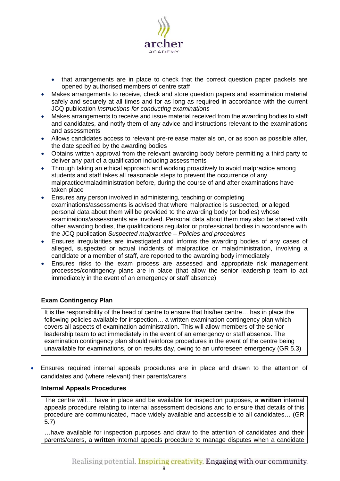

- that arrangements are in place to check that the correct question paper packets are opened by authorised members of centre staff
- Makes arrangements to receive, check and store question papers and examination material safely and securely at all times and for as long as required in accordance with the current JCQ publication *Instructions for conducting examinations*
- Makes arrangements to receive and issue material received from the awarding bodies to staff and candidates, and notify them of any advice and instructions relevant to the examinations and assessments
- Allows candidates access to relevant pre-release materials on, or as soon as possible after, the date specified by the awarding bodies
- Obtains written approval from the relevant awarding body before permitting a third party to deliver any part of a qualification including assessments
- Through taking an ethical approach and working proactively to avoid malpractice among students and staff takes all reasonable steps to prevent the occurrence of any malpractice/maladministration before, during the course of and after examinations have taken place
- Ensures any person involved in administering, teaching or completing examinations/assessments is advised that where malpractice is suspected, or alleged, personal data about them will be provided to the awarding body (or bodies) whose examinations/assessments are involved. Personal data about them may also be shared with other awarding bodies, the qualifications regulator or professional bodies in accordance with the JCQ publication *Suspected malpractice – Policies and procedures*
- Ensures irregularities are investigated and informs the awarding bodies of any cases of alleged, suspected or actual incidents of malpractice or maladministration, involving a candidate or a member of staff, are reported to the awarding body immediately
- Ensures risks to the exam process are assessed and appropriate risk management processes/contingency plans are in place (that allow the senior leadership team to act immediately in the event of an emergency or staff absence)

# <span id="page-7-0"></span>**Exam Contingency Plan**

It is the responsibility of the head of centre to ensure that his/her centre… has in place the following policies available for inspection… a written examination contingency plan which covers all aspects of examination administration. This will allow members of the senior leadership team to act immediately in the event of an emergency or staff absence. The examination contingency plan should reinforce procedures in the event of the centre being unavailable for examinations, or on results day, owing to an unforeseen emergency [\(GR](http://www.jcq.org.uk/exams-office/general-regulations) 5.3)

• Ensures required internal appeals procedures are in place and drawn to the attention of candidates and (where relevant) their parents/carers

# <span id="page-7-1"></span>**Internal Appeals Procedures**

The centre will… have in place and be available for inspection purposes, a **written** internal appeals procedure relating to internal assessment decisions and to ensure that details of this procedure are communicated, made widely available and accessible to all candidates… [\(GR](http://www.jcq.org.uk/exams-office/general-regulations) 5.7)

…have available for inspection purposes and draw to the attention of candidates and their parents/carers, a **written** internal appeals procedure to manage disputes when a candidate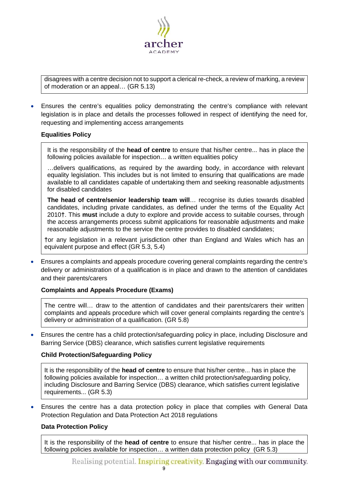

disagrees with a centre decision not to support a clerical re-check, a review of marking, a review of moderation or an appeal… [\(GR](http://www.jcq.org.uk/exams-office/general-regulations) 5.13)

• Ensures the centre's equalities policy demonstrating the centre's compliance with relevant legislation is in place and details the processes followed in respect of identifying the need for, requesting and implementing access arrangements

#### <span id="page-8-0"></span>**Equalities Policy**

It is the responsibility of the **head of centre** to ensure that his/her centre... has in place the following policies available for inspection… a written equalities policy

…delivers qualifications, as required by the awarding body, in accordance with relevant equality legislation. This includes but is not limited to ensuring that qualifications are made available to all candidates capable of undertaking them and seeking reasonable adjustments for disabled candidates

**The head of centre/senior leadership team will**… recognise its duties towards disabled candidates, including private candidates, as defined under the terms of the Equality Act 2010**†**. This **must** include a duty to explore and provide access to suitable courses, through the access arrangements process submit applications for reasonable adjustments and make reasonable adjustments to the service the centre provides to disabled candidates;

**†**or any legislation in a relevant jurisdiction other than England and Wales which has an equivalent purpose and effect [\(GR](http://www.jcq.org.uk/exams-office/general-regulations) 5.3, 5.4)

• Ensures a complaints and appeals procedure covering general complaints regarding the centre's delivery or administration of a qualification is in place and drawn to the attention of candidates and their parents/carers

## <span id="page-8-1"></span>**Complaints and Appeals Procedure (Exams)**

The centre will… draw to the attention of candidates and their parents/carers their written complaints and appeals procedure which will cover general complaints regarding the centre's delivery or administration of a qualification. [\(GR](http://www.jcq.org.uk/exams-office/general-regulations) 5.8)

• Ensures the centre has a child protection/safeguarding policy in place, including Disclosure and Barring Service (DBS) clearance, which satisfies current legislative requirements

#### <span id="page-8-2"></span>**Child Protection/Safeguarding Policy**

It is the responsibility of the **head of centre** to ensure that his/her centre... has in place the following policies available for inspection… a written child protection/safeguarding policy, including Disclosure and Barring Service (DBS) clearance, which satisfies current legislative requirements... [\(GR](http://www.jcq.org.uk/exams-office/general-regulations) 5.3)

• Ensures the centre has a data protection policy in place that complies with General Data Protection Regulation and Data Protection Act 2018 regulations

#### <span id="page-8-3"></span>**Data Protection Policy**

It is the responsibility of the **head of centre** to ensure that his/her centre... has in place the following policies available for inspection… a written data protection policy [\(GR](http://www.jcq.org.uk/exams-office/general-regulations) 5.3)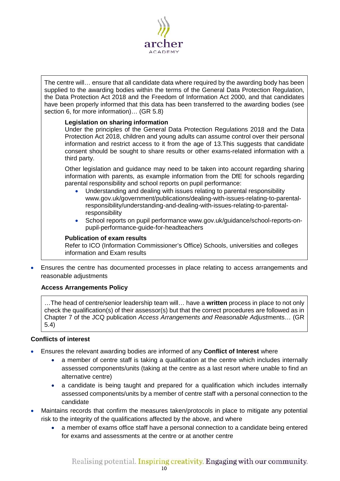

The centre will… ensure that all candidate data where required by the awarding body has been supplied to the awarding bodies within the terms of the General Data Protection Regulation, the Data Protection Act 2018 and the Freedom of Information Act 2000, and that candidates have been properly informed that this data has been transferred to the awarding bodies (see section 6, for more information)... [\(GR](http://www.jcq.org.uk/exams-office/general-regulations) 5.8)

## **Legislation on sharing information**

Under the principles of the General Data Protection Regulations 2018 and the Data Protection Act 2018, children and young adults can assume control over their personal information and restrict access to it from the age of 13.This suggests that candidate consent should be sought to share results or other exams-related information with a third party.

Other legislation and guidance may need to be taken into account regarding sharing information with parents, as example information from the DfE for schools regarding parental responsibility and school reports on pupil performance:

- Understanding and dealing with issues relating to parental responsibility [www.gov.uk/government/publications/dealing-with-issues-relating-to-parental](https://www.gov.uk/government/publications/dealing-with-issues-relating-to-parental-responsibility/understanding-and-dealing-with-issues-relating-to-parental-responsibility)[responsibility/understanding-and-dealing-with-issues-relating-to-parental](https://www.gov.uk/government/publications/dealing-with-issues-relating-to-parental-responsibility/understanding-and-dealing-with-issues-relating-to-parental-responsibility)[responsibility](https://www.gov.uk/government/publications/dealing-with-issues-relating-to-parental-responsibility/understanding-and-dealing-with-issues-relating-to-parental-responsibility)
- School reports on pupil performance [www.gov.uk/guidance/school-reports-on](https://www.gov.uk/guidance/school-reports-on-pupil-performance-guide-for-headteachers)[pupil-performance-guide-for-headteachers](https://www.gov.uk/guidance/school-reports-on-pupil-performance-guide-for-headteachers)

#### **Publication of exam results**

Refer to ICO (Information Commissioner's Office) [Schools, universities and colleges](https://ico.org.uk/your-data-matters/schools/) information and [Exam results](https://ico.org.uk/your-data-matters/schools/exam-results/)

<span id="page-9-0"></span>• Ensures the centre has documented processes in place relating to access arrangements and reasonable adjustments

## **Access Arrangements Policy**

…The head of centre/senior leadership team will… have a **written** process in place to not only check the qualification(s) of their assessor(s) but that the correct procedures are followed as in Chapter 7 of the JCQ publication *Access Arrangements and Reasonable Adjust*ments… [\(GR](http://www.jcq.org.uk/exams-office/general-regulations) 5.4)

## <span id="page-9-1"></span>**Conflicts of interest**

- Ensures the relevant awarding bodies are informed of any **Conflict of Interest** where
	- a member of centre staff is taking a qualification at the centre which includes internally assessed components/units (taking at the centre as a last resort where unable to find an alternative centre)
	- a candidate is being taught and prepared for a qualification which includes internally assessed components/units by a member of centre staff with a personal connection to the candidate
- Maintains records that confirm the measures taken/protocols in place to mitigate any potential risk to the integrity of the qualifications affected by the above, and where
	- a member of exams office staff have a personal connection to a candidate being entered for exams and assessments at the centre or at another centre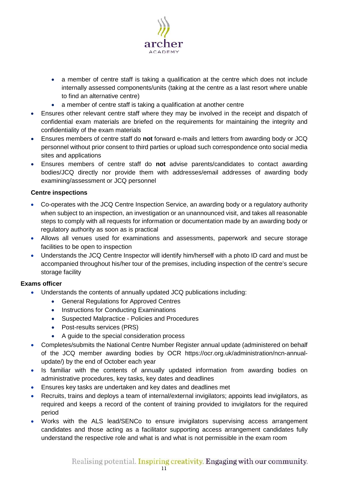

- a member of centre staff is taking a qualification at the centre which does not include internally assessed components/units (taking at the centre as a last resort where unable to find an alternative centre)
- a member of centre staff is taking a qualification at another centre
- Ensures other relevant centre staff where they may be involved in the receipt and dispatch of confidential exam materials are briefed on the requirements for maintaining the integrity and confidentiality of the exam materials
- Ensures members of centre staff do **not** forward e-mails and letters from awarding body or JCQ personnel without prior consent to third parties or upload such correspondence onto social media sites and applications
- Ensures members of centre staff do **not** advise parents/candidates to contact awarding bodies/JCQ directly nor provide them with addresses/email addresses of awarding body examining/assessment or JCQ personnel

# <span id="page-10-0"></span>**Centre inspections**

- Co-operates with the JCQ Centre Inspection Service, an awarding body or a regulatory authority when subject to an inspection, an investigation or an unannounced visit, and takes all reasonable steps to comply with all requests for information or documentation made by an awarding body or regulatory authority as soon as is practical
- Allows all venues used for examinations and assessments, paperwork and secure storage facilities to be open to inspection
- Understands the JCQ Centre Inspector will identify him/herself with a photo ID card and must be accompanied throughout his/her tour of the premises, including inspection of the centre's secure storage facility

- Understands the contents of annually updated JCQ publications including:
	- [General Regulations for Approved Centres](http://www.jcq.org.uk/exams-office/general-regulations)
	- [Instructions for Conducting Examinations](http://www.jcq.org.uk/exams-office/ice---instructions-for-conducting-examinations)
	- Suspected Malpractice [Policies and Procedures](http://www.jcq.org.uk/exams-office/malpractice)
	- [Post-results services](http://www.jcq.org.uk/exams-office/post-results-services) (PRS)
	- [A guide to the special consideration process](https://www.jcq.org.uk/exams-office/access-arrangements-and-special-consideration/regulations-and-guidance/)
- Completes/submits the National Centre Number Register annual update (administered on behalf of the JCQ member awarding bodies by OCR [https://ocr.org.uk/administration/ncn-annual](https://ocr.org.uk/administration/ncn-annual-update/)[update/\)](https://ocr.org.uk/administration/ncn-annual-update/) by the end of October each year
- Is familiar with the contents of annually updated information from awarding bodies on administrative procedures, key tasks, key dates and deadlines
- Ensures key tasks are undertaken and key dates and deadlines met
- Recruits, trains and deploys a team of internal/external invigilators; appoints lead invigilators, as required and keeps a record of the content of training provided to invigilators for the required period
- Works with the ALS lead/SENCo to ensure invigilators supervising access arrangement candidates and those acting as a facilitator supporting access arrangement candidates fully understand the respective role and what is and what is not permissible in the exam room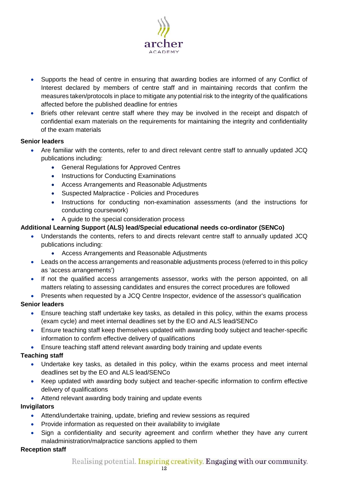

- Supports the head of centre in ensuring that awarding bodies are informed of any Conflict of Interest declared by members of centre staff and in maintaining records that confirm the measures taken/protocols in place to mitigate any potential risk to the integrity of the qualifications affected before the published deadline for entries
- Briefs other relevant centre staff where they may be involved in the receipt and dispatch of confidential exam materials on the requirements for maintaining the integrity and confidentiality of the exam materials

## **Senior leaders**

- Are familiar with the contents, refer to and direct relevant centre staff to annually updated JCQ publications including:
	- [General Regulations for Approved Centres](http://www.jcq.org.uk/exams-office/general-regulations)
	- [Instructions for Conducting Examinations](http://www.jcq.org.uk/exams-office/ice---instructions-for-conducting-examinations)
	- [Access Arrangements and Reasonable Adjustments](http://www.jcq.org.uk/exams-office/access-arrangements-and-special-consideration/regulations-and-guidance)
	- Suspected Malpractice [Policies and Procedures](http://www.jcq.org.uk/exams-office/malpractice)
	- [Instructions for conducting non-examination assessments](http://www.jcq.org.uk/exams-office/non-examination-assessments) (and the instructions for conducting coursework)
	- [A guide to the special consideration process](http://www.jcq.org.uk/exams-office/access-arrangements-and-special-consideration/regulations-and-guidance)

# **Additional Learning Support (ALS) lead/Special educational needs co-ordinator (SENCo)**

- Understands the contents, refers to and directs relevant centre staff to annually updated JCQ publications including:
	- [Access Arrangements and Reasonable Adjustments](http://www.jcq.org.uk/exams-office/access-arrangements-and-special-consideration/regulations-and-guidance)
- Leads on the access arrangements and reasonable adjustments process (referred to in this policy as 'access arrangements')
- If not the qualified access arrangements assessor, works with the person appointed, on all matters relating to assessing candidates and ensures the correct procedures are followed
- Presents when requested by a JCQ Centre Inspector, evidence of the assessor's qualification

# **Senior leaders**

- Ensure teaching staff undertake key tasks, as detailed in this policy, within the exams process (exam cycle) and meet internal deadlines set by the EO and ALS lead/SENCo
- Ensure teaching staff keep themselves updated with awarding body subject and teacher-specific information to confirm effective delivery of qualifications
- Ensure teaching staff attend relevant awarding body training and update events

# **Teaching staff**

- Undertake key tasks, as detailed in this policy, within the exams process and meet internal deadlines set by the EO and ALS lead/SENCo
- Keep updated with awarding body subject and teacher-specific information to confirm effective delivery of qualifications
- Attend relevant awarding body training and update events

# **Invigilators**

- Attend/undertake training, update, briefing and review sessions as required
- Provide information as requested on their availability to invigilate
- Sign a confidentiality and security agreement and confirm whether they have any current maladministration/malpractice sanctions applied to them

# **Reception staff**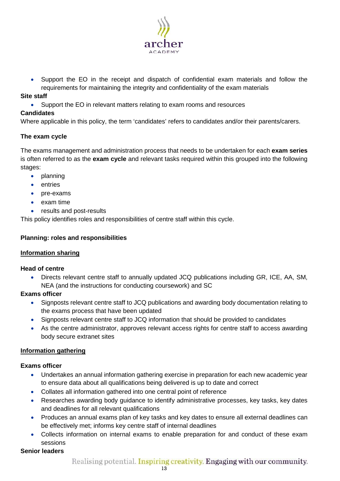

• Support the EO in the receipt and dispatch of confidential exam materials and follow the requirements for maintaining the integrity and confidentiality of the exam materials

## **Site staff**

• Support the EO in relevant matters relating to exam rooms and resources

# **Candidates**

Where applicable in this policy, the term 'candidates' refers to candidates and/or their parents/carers.

# <span id="page-12-0"></span>**The exam cycle**

The exams management and administration process that needs to be undertaken for each **exam series** is often referred to as the **exam cycle** and relevant tasks required within this grouped into the following stages:

- planning
- entries
- pre-exams
- exam time
- results and post-results

<span id="page-12-1"></span>This policy identifies roles and responsibilities of centre staff within this cycle.

# **Planning: roles and responsibilities**

# <span id="page-12-2"></span>**Information sharing**

## **Head of centre**

• Directs relevant centre staff to annually updated JCQ publications including [GR,](http://www.jcq.org.uk/exams-office/general-regulations) [ICE,](http://www.jcq.org.uk/exams-office/ice---instructions-for-conducting-examinations) [AA,](http://www.jcq.org.uk/exams-office/access-arrangements-and-special-consideration) [SM,](http://www.jcq.org.uk/exams-office/malpractice) [NEA](http://www.jcq.org.uk/exams-office/non-examination-assessments) (and the instructions for conducting coursework) and [SC](http://www.jcq.org.uk/exams-office/access-arrangements-and-special-consideration/regulations-and-guidance)

# **Exams officer**

- Signposts relevant centre staff to JCQ publications and awarding body documentation relating to the exams process that have been updated
- Signposts relevant centre staff to JCQ information that should be provided to candidates
- As the centre administrator, approves relevant access rights for centre staff to access awarding body secure extranet sites

# <span id="page-12-3"></span>**Information gathering**

# **Exams officer**

- Undertakes an annual information gathering exercise in preparation for each new academic year to ensure data about all qualifications being delivered is up to date and correct
- Collates all information gathered into one central point of reference
- Researches awarding body guidance to identify administrative processes, key tasks, key dates and deadlines for all relevant qualifications
- Produces an annual exams plan of key tasks and key dates to ensure all external deadlines can be effectively met; informs key centre staff of internal deadlines
- Collects information on internal exams to enable preparation for and conduct of these exam sessions

## **Senior leaders**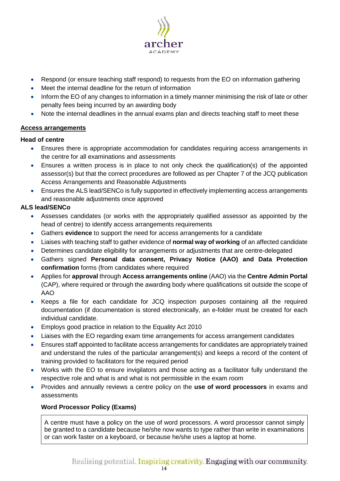

- Respond (or ensure teaching staff respond) to requests from the EO on information gathering
- Meet the internal deadline for the return of information
- Inform the EO of any changes to information in a timely manner minimising the risk of late or other penalty fees being incurred by an awarding body
- Note the internal deadlines in the annual exams plan and directs teaching staff to meet these

# <span id="page-13-0"></span>**Access arrangements**

## **Head of centre**

- Ensures there is appropriate accommodation for candidates requiring access arrangements in the centre for all examinations and assessments
- Ensures a written process is in place to not only check the qualification(s) of the appointed assessor(s) but that the correct procedures are followed as per Chapter 7 of the JCQ publication [Access Arrangements and Reasonable Adjustments](http://www.jcq.org.uk/exams-office/access-arrangements-and-special-consideration/regulations-and-guidance)
- Ensures the ALS lead/SENCo is fully supported in effectively implementing access arrangements and reasonable adjustments once approved

# **ALS lead/SENCo**

- Assesses candidates (or works with the appropriately qualified assessor as appointed by the head of centre) to identify access arrangements requirements
- Gathers **evidence** to support the need for access arrangements for a candidate
- Liaises with teaching staff to gather evidence of **normal way of working** of an affected candidate
- Determines candidate eligibility for arrangements or adjustments that are centre-delegated
- Gathers signed **Personal data consent, Privacy Notice (AAO) and Data Protection confirmation** forms (from candidates where required
- Applies for **approval** through **Access arrangements online** (AAO) via the **Centre Admin Portal** (CAP), where required or through the awarding body where qualifications sit outside the scope of AAO
- Keeps a file for each candidate for JCQ inspection purposes containing all the required documentation (if documentation is stored electronically, an e-folder must be created for each individual candidate.
- Employs good practice in relation to the Equality Act 2010
- Liaises with the EO regarding exam time arrangements for access arrangement candidates
- Ensures staff appointed to facilitate access arrangements for candidates are appropriately trained and understand the rules of the particular arrangement(s) and keeps a record of the content of training provided to facilitators for the required period
- Works with the EO to ensure invigilators and those acting as a facilitator fully understand the respective role and what is and what is not permissible in the exam room
- <span id="page-13-1"></span>• Provides and annually reviews a centre policy on the **use of word processors** in exams and assessments

## **Word Processor Policy (Exams)**

A centre must have a policy on the use of word processors. A word processor cannot simply be granted to a candidate because he/she now wants to type rather than write in examinations or can work faster on a keyboard, or because he/she uses a laptop at home.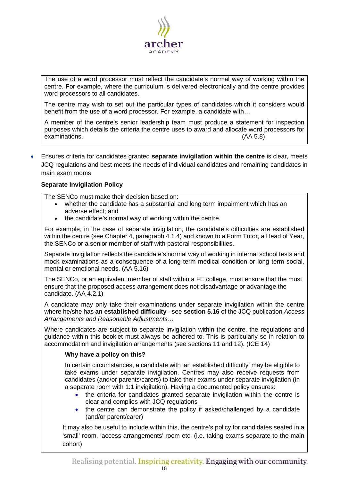

The use of a word processor must reflect the candidate's normal way of working within the centre. For example, where the curriculum is delivered electronically and the centre provides word processors to all candidates.

The centre may wish to set out the particular types of candidates which it considers would benefit from the use of a word processor. For example, a candidate with…

A member of the centre's senior leadership team must produce a statement for inspection purposes which details the criteria the centre uses to award and allocate word processors for examinations. [\(AA](http://www.jcq.org.uk/exams-office/access-arrangements-and-special-consideration) 5.8)

• Ensures criteria for candidates granted **separate invigilation within the centre** is clear, meets JCQ regulations and best meets the needs of individual candidates and remaining candidates in main exam rooms

## <span id="page-14-0"></span>**Separate Invigilation Policy**

The SENCo must make their decision based on:

- whether the candidate has a substantial and long term impairment which has an adverse effect; and
- the candidate's normal way of working within the centre.

For example, in the case of separate invigilation, the candidate's difficulties are established within the centre (see Chapter 4, paragraph 4.1.4) and known to a Form Tutor, a Head of Year, the SENCo or a senior member of staff with pastoral responsibilities.

Separate invigilation reflects the candidate's normal way of working in internal school tests and mock examinations as a consequence of a long term medical condition or long term social, mental or emotional needs. [\(AA](http://www.jcq.org.uk/exams-office/access-arrangements-and-special-consideration) 5.16)

The SENCo, or an equivalent member of staff within a FE college, must ensure that the must ensure that the proposed access arrangement does not disadvantage or advantage the candidate. [\(AA](http://www.jcq.org.uk/exams-office/access-arrangements-and-special-consideration) 4.2.1)

A candidate may only take their examinations under separate invigilation within the centre where he/she has **an established difficulty** - see **section 5.16** of the JCQ publication *Access Arrangements and Reasonable Adjustments*…

Where candidates are subject to separate invigilation within the centre, the regulations and guidance within this booklet must always be adhered to. This is particularly so in relation to accommodation and invigilation arrangements (see sections 11 and 12). [\(ICE](http://www.jcq.org.uk/exams-office/ice---instructions-for-conducting-examinations) 14)

## **Why have a policy on this?**

In certain circumstances, a candidate with 'an established difficulty' may be eligible to take exams under separate invigilation. Centres may also receive requests from candidates (and/or parents/carers) to take their exams under separate invigilation (in a separate room with 1:1 invigilation). Having a documented policy ensures:

- the criteria for candidates granted separate invigilation within the centre is clear and complies with JCQ regulations
- the centre can demonstrate the policy if asked/challenged by a candidate (and/or parent/carer)

It may also be useful to include within this, the centre's policy for candidates seated in a 'small' room, 'access arrangements' room etc. (i.e. taking exams separate to the main cohort)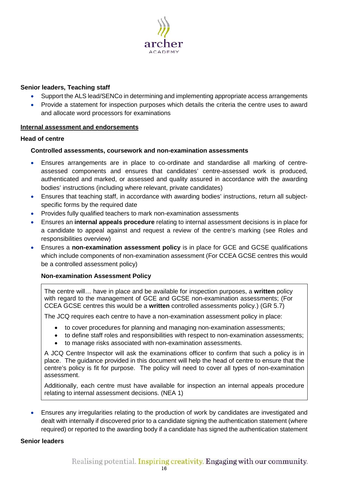

## **Senior leaders, Teaching staff**

- Support the ALS lead/SENCo in determining and implementing appropriate access arrangements
- Provide a statement for inspection purposes which details the criteria the centre uses to award and allocate word processors for examinations

## <span id="page-15-0"></span>**Internal assessment and endorsements**

## <span id="page-15-1"></span>**Head of centre**

## **Controlled assessments, coursework and non-examination assessments**

- Ensures arrangements are in place to co-ordinate and standardise all marking of centreassessed components and ensures that candidates' centre-assessed work is produced, authenticated and marked, or assessed and quality assured in accordance with the awarding bodies' instructions (including where relevant, private candidates)
- Ensures that teaching staff, in accordance with awarding bodies' instructions, return all subjectspecific forms by the required date
- Provides fully qualified teachers to mark non-examination assessments
- Ensures an **internal appeals procedure** relating to internal assessment decisions is in place for a candidate to appeal against and request a review of the centre's marking (see Roles and responsibilities overview)
- Ensures a **non-examination assessment policy** is in place for GCE and GCSE qualifications which include components of non-examination assessment (For CCEA GCSE centres this would be a controlled assessment policy)

## <span id="page-15-2"></span>**Non-examination Assessment Policy**

The centre will… have in place and be available for inspection purposes, a **written** policy with regard to the management of GCE and GCSE non-examination assessments; (For CCEA GCSE centres this would be a **written** controlled assessments policy.) [\(GR](http://www.jcq.org.uk/exams-office/general-regulations) 5.7)

The JCQ requires each centre to have a non-examination assessment policy in place:

- to cover procedures for planning and managing non-examination assessments;
- to define staff roles and responsibilities with respect to non-examination assessments;
- to manage risks associated with non-examination assessments.

A JCQ Centre Inspector will ask the examinations officer to confirm that such a policy is in place. The guidance provided in this document will help the head of centre to ensure that the centre's policy is fit for purpose. The policy will need to cover all types of non-examination assessment.

Additionally, each centre must have available for inspection an internal appeals procedure relating to internal assessment decisions. [\(NEA](https://www.jcq.org.uk/exams-office/non-examination-assessments) 1)

• Ensures any irregularities relating to the production of work by candidates are investigated and dealt with internally if discovered prior to a candidate signing the authentication statement (where required) or reported to the awarding body if a candidate has signed the authentication statement

## **Senior leaders**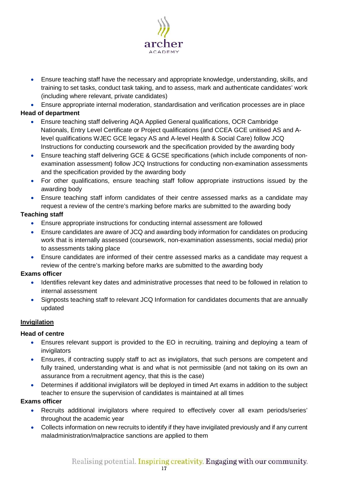

• Ensure teaching staff have the necessary and appropriate knowledge, understanding, skills, and training to set tasks, conduct task taking, and to assess, mark and authenticate candidates' work (including where relevant, private candidates)

• Ensure appropriate internal moderation, standardisation and verification processes are in place **Head of department**

- Ensure teaching staff delivering AQA Applied General qualifications, OCR Cambridge Nationals, Entry Level Certificate or Project qualifications (and CCEA GCE unitised AS and Alevel qualifications WJEC GCE legacy AS and A-level Health & Social Care) follow JCQ [Instructions for conducting coursework](http://www.jcq.org.uk/exams-office/coursework) and the specification provided by the awarding body
- Ensure teaching staff delivering GCE & GCSE specifications (which include components of nonexamination assessment) follow JCQ [Instructions for conducting non-examination assessments](http://www.jcq.org.uk/exams-office/non-examination-assessments) and the specification provided by the awarding body
- For other qualifications, ensure teaching staff follow appropriate instructions issued by the awarding body
- Ensure teaching staff inform candidates of their centre assessed marks as a candidate may request a review of the centre's marking before marks are submitted to the awarding body

# **Teaching staff**

- Ensure appropriate instructions for conducting internal assessment are followed
- Ensure candidates are aware of JCQ and awarding body information for candidates on producing work that is internally assessed (coursework, non-examination assessments, social media) prior to assessments taking place
- Ensure candidates are informed of their centre assessed marks as a candidate may request a review of the centre's marking before marks are submitted to the awarding body

# **Exams officer**

- Identifies relevant key dates and administrative processes that need to be followed in relation to internal assessment
- Signposts teaching staff to relevant JCQ [Information for candidates documents](https://www.jcq.org.uk/exams-office/information-for-candidates-documents/) that are annually updated

# <span id="page-16-0"></span>**Invigilation**

# **Head of centre**

- Ensures relevant support is provided to the EO in recruiting, training and deploying a team of invigilators
- Ensures, if contracting supply staff to act as invigilators, that such persons are competent and fully trained, understanding what is and what is not permissible (and not taking on its own an assurance from a recruitment agency, that this is the case)
- Determines if additional invigilators will be deployed in timed Art exams in addition to the subject teacher to ensure the supervision of candidates is maintained at all times

- Recruits additional invigilators where required to effectively cover all exam periods/series' throughout the academic year
- Collects information on new recruits to identify if they have invigilated previously and if any current maladministration/malpractice sanctions are applied to them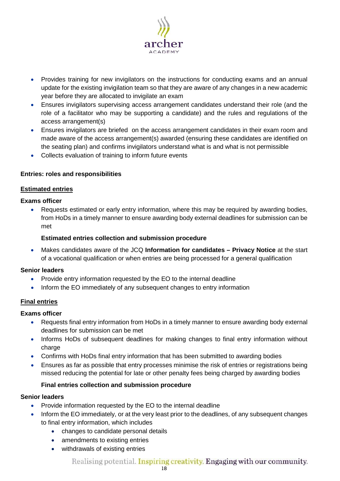

- Provides training for new invigilators on the instructions for conducting exams and an annual update for the existing invigilation team so that they are aware of any changes in a new academic year before they are allocated to invigilate an exam
- Ensures invigilators supervising access arrangement candidates understand their role (and the role of a facilitator who may be supporting a candidate) and the rules and regulations of the access arrangement(s)
- Ensures invigilators are briefed on the access arrangement candidates in their exam room and made aware of the access arrangement(s) awarded (ensuring these candidates are identified on the seating plan) and confirms invigilators understand what is and what is not permissible
- Collects evaluation of training to inform future events

## <span id="page-17-0"></span>**Entries: roles and responsibilities**

## <span id="page-17-1"></span>**Estimated entries**

## **Exams officer**

• Requests estimated or early entry information, where this may be required by awarding bodies, from HoDs in a timely manner to ensure awarding body external deadlines for submission can be met

## **Estimated entries collection and submission procedure**

<span id="page-17-2"></span>• Makes candidates aware of the JCQ **Information for candidates – Privacy Notice** at the start of a vocational qualification or when entries are being processed for a general qualification

## **Senior leaders**

- Provide entry information requested by the EO to the internal deadline
- Inform the EO immediately of any subsequent changes to entry information

## <span id="page-17-3"></span>**Final entries**

## **Exams officer**

- Requests final entry information from HoDs in a timely manner to ensure awarding body external deadlines for submission can be met
- Informs HoDs of subsequent deadlines for making changes to final entry information without charge
- Confirms with HoDs final entry information that has been submitted to awarding bodies
- Ensures as far as possible that entry processes minimise the risk of entries or registrations being missed reducing the potential for late or other penalty fees being charged by awarding bodies

# **Final entries collection and submission procedure**

## <span id="page-17-4"></span>**Senior leaders**

- Provide information requested by the EO to the internal deadline
- Inform the EO immediately, or at the very least prior to the deadlines, of any subsequent changes to final entry information, which includes
	- changes to candidate personal details
	- amendments to existing entries
	- withdrawals of existing entries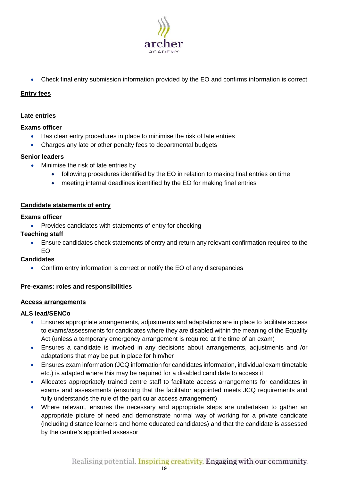

• Check final entry submission information provided by the EO and confirms information is correct

# <span id="page-18-0"></span>**Entry fees**

# <span id="page-18-1"></span>**Late entries**

## **Exams officer**

- Has clear entry procedures in place to minimise the risk of late entries
- Charges any late or other penalty fees to departmental budgets

## **Senior leaders**

- Minimise the risk of late entries by
	- following procedures identified by the EO in relation to making final entries on time
	- meeting internal deadlines identified by the EO for making final entries

## <span id="page-18-2"></span>**Candidate statements of entry**

## **Exams officer**

• Provides candidates with statements of entry for checking

## **Teaching staff**

• Ensure candidates check statements of entry and return any relevant confirmation required to the EO

## **Candidates**

• Confirm entry information is correct or notify the EO of any discrepancies

## <span id="page-18-3"></span>**Pre-exams: roles and responsibilities**

## <span id="page-18-4"></span>**Access arrangements**

## **ALS lead/SENCo**

- Ensures appropriate arrangements, adjustments and adaptations are in place to facilitate access to exams/assessments for candidates where they are disabled within the meaning of the Equality Act (unless a temporary emergency arrangement is required at the time of an exam)
- Ensures a candidate is involved in any decisions about arrangements, adjustments and /or adaptations that may be put in place for him/her
- Ensures exam information (JCQ information for candidates information, individual exam timetable etc.) is adapted where this may be required for a disabled candidate to access it
- Allocates appropriately trained centre staff to facilitate access arrangements for candidates in exams and assessments (ensuring that the facilitator appointed meets JCQ requirements and fully understands the rule of the particular access arrangement)
- Where relevant, ensures the necessary and appropriate steps are undertaken to gather an appropriate picture of need and demonstrate normal way of working for a private candidate (including distance learners and home educated candidates) and that the candidate is assessed by the centre's appointed assessor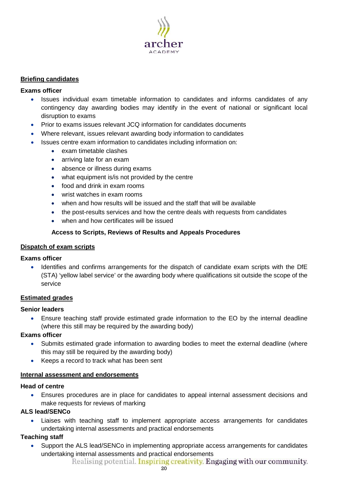

# <span id="page-19-0"></span>**Briefing candidates**

## **Exams officer**

- Issues individual exam timetable information to candidates and informs candidates of any contingency day awarding bodies may identify in the event of national or significant local disruption to exams
- Prior to exams issues relevant JCQ information for candidates documents
- Where relevant, issues relevant awarding body information to candidates
- Issues centre exam information to candidates including information on:
	- exam timetable clashes
	- arriving late for an exam
	- absence or illness during exams
	- what equipment is/is not provided by the centre
	- food and drink in exam rooms
	- wrist watches in exam rooms
	- when and how results will be issued and the staff that will be available
	- the post-results services and how the centre deals with requests from candidates
	- when and how certificates will be issued

# **Access to Scripts, Reviews of Results and Appeals Procedures**

## <span id="page-19-2"></span><span id="page-19-1"></span>**Dispatch of exam scripts**

## **Exams officer**

• Identifies and confirms arrangements for the dispatch of candidate exam scripts with the DfE (STA) 'yellow label service' or the awarding body where qualifications sit outside the scope of the service

## <span id="page-19-3"></span>**Estimated grades**

## **Senior leaders**

• Ensure teaching staff provide estimated grade information to the EO by the internal deadline (where this still may be required by the awarding body)

## **Exams officer**

- Submits estimated grade information to awarding bodies to meet the external deadline (where this may still be required by the awarding body)
- Keeps a record to track what has been sent

## <span id="page-19-4"></span>**Internal assessment and endorsements**

## **Head of centre**

• Ensures procedures are in place for candidates to appeal internal assessment decisions and make requests for reviews of marking

## **ALS lead/SENCo**

• Liaises with teaching staff to implement appropriate access arrangements for candidates undertaking internal assessments and practical endorsements

## **Teaching staff**

• Support the ALS lead/SENCo in implementing appropriate access arrangements for candidates undertaking internal assessments and practical endorsements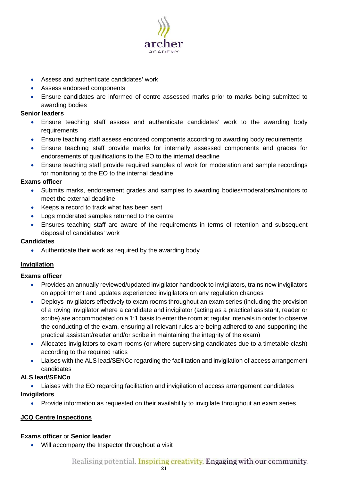

- Assess and authenticate candidates' work
- Assess endorsed components
- Ensure candidates are informed of centre assessed marks prior to marks being submitted to awarding bodies

## **Senior leaders**

- Ensure teaching staff assess and authenticate candidates' work to the awarding body requirements
- Ensure teaching staff assess endorsed components according to awarding body requirements
- Ensure teaching staff provide marks for internally assessed components and grades for endorsements of qualifications to the EO to the internal deadline
- Ensure teaching staff provide required samples of work for moderation and sample recordings for monitoring to the EO to the internal deadline

# **Exams officer**

- Submits marks, endorsement grades and samples to awarding bodies/moderators/monitors to meet the external deadline
- Keeps a record to track what has been sent
- Logs moderated samples returned to the centre
- Ensures teaching staff are aware of the requirements in terms of retention and subsequent disposal of candidates' work

## **Candidates**

• Authenticate their work as required by the awarding body

# <span id="page-20-0"></span>**Invigilation**

## **Exams officer**

- Provides an annually reviewed/updated invigilator handbook to invigilators, trains new invigilators on appointment and updates experienced invigilators on any regulation changes
- Deploys invigilators effectively to exam rooms throughout an exam series (including the provision of a roving invigilator where a candidate and invigilator (acting as a practical assistant, reader or scribe) are accommodated on a 1:1 basis to enter the room at regular intervals in order to observe the conducting of the exam, ensuring all relevant rules are being adhered to and supporting the practical assistant/reader and/or scribe in maintaining the integrity of the exam)
- Allocates invigilators to exam rooms (or where supervising candidates due to a timetable clash) according to the required ratios
- Liaises with the ALS lead/SENCo regarding the facilitation and invigilation of access arrangement candidates

# **ALS lead/SENCo**

• Liaises with the EO regarding facilitation and invigilation of access arrangement candidates **Invigilators**

• Provide information as requested on their availability to invigilate throughout an exam series

# <span id="page-20-1"></span>**JCQ Centre Inspections**

## **Exams officer** or **Senior leader**

• Will accompany the Inspector throughout a visit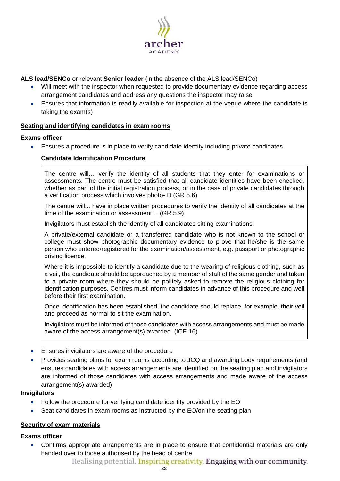

# **ALS lead/SENCo** or relevant **Senior leader** (in the absence of the ALS lead/SENCo)

- Will meet with the inspector when requested to provide documentary evidence regarding access arrangement candidates and address any questions the inspector may raise
- Ensures that information is readily available for inspection at the venue where the candidate is taking the exam(s)

#### <span id="page-21-0"></span>**Seating and identifying candidates in exam rooms**

#### **Exams officer**

<span id="page-21-1"></span>• Ensures a procedure is in place to verify candidate identity including private candidates

## **Candidate Identification Procedure**

The centre will… verify the identity of all students that they enter for examinations or assessments. The centre must be satisfied that all candidate identities have been checked, whether as part of the initial registration process, or in the case of private candidates through a verification process which involves photo-ID [\(GR](http://www.jcq.org.uk/exams-office/general-regulations) 5.6)

The centre will... have in place written procedures to verify the identity of all candidates at the time of the examination or assessment… [\(GR](http://www.jcq.org.uk/exams-office/general-regulations) 5.9)

Invigilators must establish the identity of all candidates sitting examinations.

A private/external candidate or a transferred candidate who is not known to the school or college must show photographic documentary evidence to prove that he/she is the same person who entered/registered for the examination/assessment, e.g. passport or photographic driving licence.

Where it is impossible to identify a candidate due to the wearing of religious clothing, such as a veil, the candidate should be approached by a member of staff of the same gender and taken to a private room where they should be politely asked to remove the religious clothing for identification purposes. Centres must inform candidates in advance of this procedure and well before their first examination.

Once identification has been established, the candidate should replace, for example, their veil and proceed as normal to sit the examination.

Invigilators must be informed of those candidates with access arrangements and must be made aware of the access arrangement(s) awarded. [\(ICE](http://www.jcq.org.uk/exams-office/ice---instructions-for-conducting-examinations) 16)

- Ensures invigilators are aware of the procedure
- Provides seating plans for exam rooms according to JCQ and awarding body requirements (and ensures candidates with access arrangements are identified on the seating plan and invigilators are informed of those candidates with access arrangements and made aware of the access arrangement(s) awarded)

## **Invigilators**

- Follow the procedure for verifying candidate identity provided by the EO
- Seat candidates in exam rooms as instructed by the EO/on the seating plan

## <span id="page-21-2"></span>**Security of exam materials**

## **Exams officer**

• Confirms appropriate arrangements are in place to ensure that confidential materials are only handed over to those authorised by the head of centre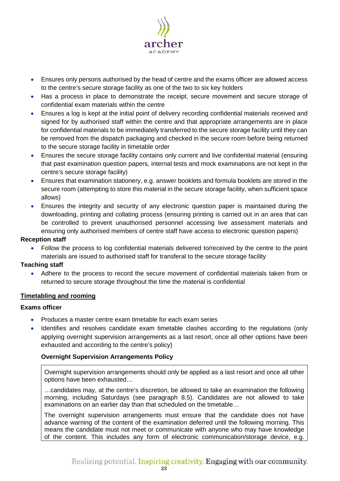

- Ensures only persons authorised by the head of centre and the exams officer are allowed access to the centre's secure storage facility as one of the two to six key holders
- Has a process in place to demonstrate the receipt, secure movement and secure storage of confidential exam materials within the centre
- Ensures a log is kept at the initial point of delivery recording confidential materials received and signed for by authorised staff within the centre and that appropriate arrangements are in place for confidential materials to be immediately transferred to the secure storage facility until they can be removed from the dispatch packaging and checked in the secure room before being returned to the secure storage facility in timetable order
- Ensures the secure storage facility contains only current and live confidential material (ensuring that past examination question papers, internal tests and mock examinations are not kept in the centre's secure storage facility)
- Ensures that examination stationery, e.g. answer booklets and formula booklets are stored in the secure room (attempting to store this material in the secure storage facility, when sufficient space allows)
- Ensures the integrity and security of any electronic question paper is maintained during the downloading, printing and collating process (ensuring printing is carried out in an area that can be controlled to prevent unauthorised personnel accessing live assessment materials and ensuring only authorised members of centre staff have access to electronic question papers)

## **Reception staff**

• Follow the process to log confidential materials delivered to/received by the centre to the point materials are issued to authorised staff for transferal to the secure storage facility

# **Teaching staff**

• Adhere to the process to record the secure movement of confidential materials taken from or returned to secure storage throughout the time the material is confidential

# <span id="page-22-0"></span>**Timetabling and rooming**

## **Exams officer**

- Produces a master centre exam timetable for each exam series
- Identifies and resolves candidate exam timetable clashes according to the regulations (only applying overnight supervision arrangements as a last resort, once all other options have been exhausted and according to the centre's policy)

# <span id="page-22-1"></span>**Overnight Supervision Arrangements Policy**

Overnight supervision arrangements should only be applied as a last resort and once all other options have been exhausted…

…candidates may, at the centre's discretion, be allowed to take an examination the following morning, including Saturdays (see paragraph 8.5). Candidates are not allowed to take examinations on an earlier day than that scheduled on the timetable…

The overnight supervision arrangements must ensure that the candidate does not have advance warning of the content of the examination deferred until the following morning. This means the candidate must not meet or communicate with anyone who may have knowledge of the content. This includes any form of electronic communication/storage device, e.g.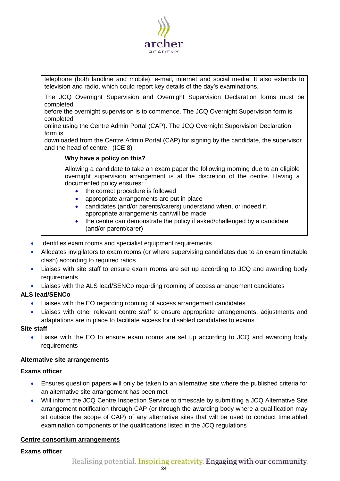

telephone (both landline and mobile), e-mail, internet and social media. It also extends to television and radio, which could report key details of the day's examinations.

The JCQ Overnight Supervision and Overnight Supervision Declaration forms must be completed

before the overnight supervision is to commence. The JCQ Overnight Supervision form is completed

online using the Centre Admin Portal (CAP). The JCQ Overnight Supervision Declaration form is

downloaded from the Centre Admin Portal (CAP) for signing by the candidate, the supervisor and the head of centre. [\(ICE](http://www.jcq.org.uk/exams-office/ice---instructions-for-conducting-examinations) 8)

## **Why have a policy on this?**

Allowing a candidate to take an exam paper the following morning due to an eligible overnight supervision arrangement is at the discretion of the centre. Having a documented policy ensures:

- the correct procedure is followed
- appropriate arrangements are put in place
- candidates (and/or parents/carers) understand when, or indeed if, appropriate arrangements can/will be made
- the centre can demonstrate the policy if asked/challenged by a candidate (and/or parent/carer)
- Identifies exam rooms and specialist equipment requirements
- Allocates invigilators to exam rooms (or where supervising candidates due to an exam timetable clash) according to required ratios
- Liaises with site staff to ensure exam rooms are set up according to JCQ and awarding body requirements
- Liaises with the ALS lead/SENCo regarding rooming of access arrangement candidates

## **ALS lead/SENCo**

- Liaises with the EO regarding rooming of access arrangement candidates
- Liaises with other relevant centre staff to ensure appropriate arrangements, adjustments and adaptations are in place to facilitate access for disabled candidates to exams

#### **Site staff**

• Liaise with the EO to ensure exam rooms are set up according to JCQ and awarding body requirements

#### <span id="page-23-0"></span>**Alternative site arrangements**

#### **Exams officer**

- Ensures question papers will only be taken to an alternative site where the published criteria for an alternative site arrangement has been met
- Will inform the JCQ Centre Inspection Service to timescale by submitting a JCQ Alternative Site arrangement notification through CAP (or through the awarding body where a qualification may sit outside the scope of CAP) of any alternative sites that will be used to conduct timetabled examination components of the qualifications listed in the JCQ regulations

## <span id="page-23-1"></span>**Centre consortium arrangements**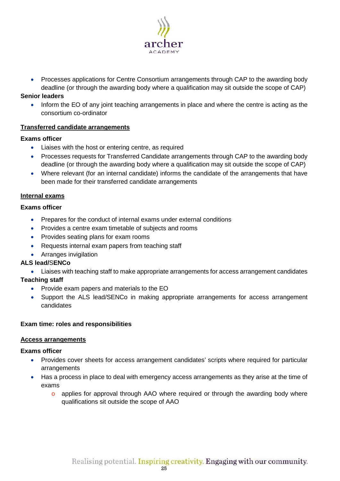

• Processes applications for Centre Consortium arrangements through CAP to the awarding body deadline (or through the awarding body where a qualification may sit outside the scope of CAP)

## **Senior leaders**

• Inform the EO of any joint teaching arrangements in place and where the centre is acting as the consortium co-ordinator

## <span id="page-24-0"></span>**Transferred candidate arrangements**

## **Exams officer**

- Liaises with the host or entering centre, as required
- Processes requests for Transferred Candidate arrangements through CAP to the awarding body deadline (or through the awarding body where a qualification may sit outside the scope of CAP)
- Where relevant (for an internal candidate) informs the candidate of the arrangements that have been made for their transferred candidate arrangements

# <span id="page-24-1"></span>**Internal exams**

## **Exams officer**

- Prepares for the conduct of internal exams under external conditions
- Provides a centre exam timetable of subjects and rooms
- Provides seating plans for exam rooms
- Requests internal exam papers from teaching staff
- Arranges invigilation

# **ALS lead/**S**ENCo**

• Liaises with teaching staff to make appropriate arrangements for access arrangement candidates

# **Teaching staff**

- Provide exam papers and materials to the EO
- Support the ALS lead/SENCo in making appropriate arrangements for access arrangement candidates

# <span id="page-24-2"></span>**Exam time: roles and responsibilities**

# <span id="page-24-3"></span>**Access arrangements**

- Provides cover sheets for access arrangement candidates' scripts where required for particular arrangements
- Has a process in place to deal with emergency access arrangements as they arise at the time of exams
	- o applies for approval through AAO where required or through the awarding body where qualifications sit outside the scope of AAO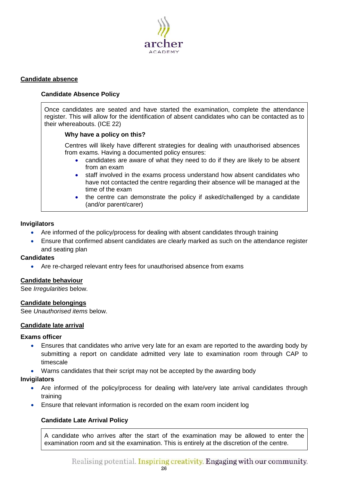

## <span id="page-25-1"></span><span id="page-25-0"></span>**Candidate absence**

## **Candidate Absence Policy**

Once candidates are seated and have started the examination, complete the attendance register. This will allow for the identification of absent candidates who can be contacted as to their whereabouts. [\(ICE](http://www.jcq.org.uk/exams-office/ice---instructions-for-conducting-examinations) 22)

#### **Why have a policy on this?**

Centres will likely have different strategies for dealing with unauthorised absences from exams. Having a documented policy ensures:

- candidates are aware of what they need to do if they are likely to be absent from an exam
- staff involved in the exams process understand how absent candidates who have not contacted the centre regarding their absence will be managed at the time of the exam
- the centre can demonstrate the policy if asked/challenged by a candidate (and/or parent/carer)

#### **Invigilators**

- Are informed of the policy/process for dealing with absent candidates through training
- Ensure that confirmed absent candidates are clearly marked as such on the attendance register and seating plan

#### **Candidates**

• Are re-charged relevant entry fees for unauthorised absence from exams

## <span id="page-25-2"></span>**Candidate behaviour**

See *Irregularities* below.

## <span id="page-25-3"></span>**Candidate belongings**

See *Unauthorised items* below.

#### <span id="page-25-4"></span>**Candidate late arrival**

#### **Exams officer**

- Ensures that candidates who arrive very late for an exam are reported to the awarding body by submitting a report on candidate admitted very late to examination room through CAP to timescale
- Warns candidates that their script may not be accepted by the awarding body

#### **Invigilators**

- Are informed of the policy/process for dealing with late/very late arrival candidates through training
- <span id="page-25-5"></span>• Ensure that relevant information is recorded on the exam room incident log

## **Candidate Late Arrival Policy**

A candidate who arrives after the start of the examination may be allowed to enter the examination room and sit the examination. This is entirely at the discretion of the centre.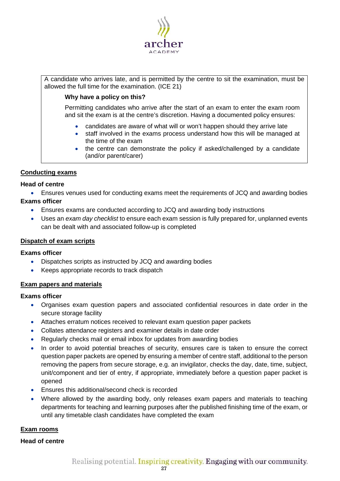

A candidate who arrives late, and is permitted by the centre to sit the examination, must be allowed the full time for the examination. [\(ICE](http://www.jcq.org.uk/exams-office/ice---instructions-for-conducting-examinations) 21)

## **Why have a policy on this?**

Permitting candidates who arrive after the start of an exam to enter the exam room and sit the exam is at the centre's discretion. Having a documented policy ensures:

- candidates are aware of what will or won't happen should they arrive late
- staff involved in the exams process understand how this will be managed at the time of the exam
- the centre can demonstrate the policy if asked/challenged by a candidate (and/or parent/carer)

## <span id="page-26-0"></span>**Conducting exams**

## **Head of centre**

• Ensures venues used for conducting exams meet the requirements of JCQ and awarding bodies

## **Exams officer**

- Ensures exams are conducted according to JCQ and awarding body instructions
- Uses an *exam day checklist* to ensure each exam session is fully prepared for, unplanned events can be dealt with and associated follow-up is completed

#### <span id="page-26-1"></span>**Dispatch of exam scripts**

#### **Exams officer**

- Dispatches scripts as instructed by JCQ and awarding bodies
- Keeps appropriate records to track dispatch

## <span id="page-26-2"></span>**Exam papers and materials**

## **Exams officer**

- Organises exam question papers and associated confidential resources in date order in the secure storage facility
- Attaches erratum notices received to relevant exam question paper packets
- Collates attendance registers and examiner details in date order
- Regularly checks mail or email inbox for updates from awarding bodies
- In order to avoid potential breaches of security, ensures care is taken to ensure the correct question paper packets are opened by ensuring a member of centre staff, additional to the person removing the papers from secure storage, e.g. an invigilator, checks the day, date, time, subject, unit/component and tier of entry, if appropriate, immediately before a question paper packet is opened
- Ensures this additional/second check is recorded
- Where allowed by the awarding body, only releases exam papers and materials to teaching departments for teaching and learning purposes after the published finishing time of the exam, or until any timetable clash candidates have completed the exam

## <span id="page-26-3"></span>**Exam rooms**

## **Head of centre**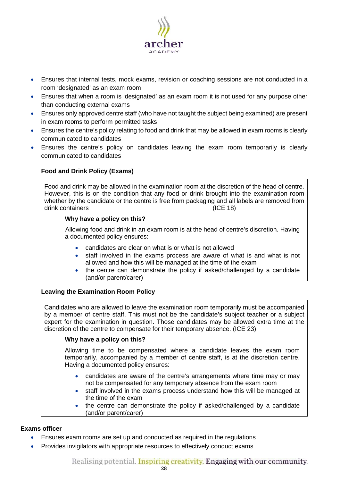

- Ensures that internal tests, mock exams, revision or coaching sessions are not conducted in a room 'designated' as an exam room
- Ensures that when a room is 'designated' as an exam room it is not used for any purpose other than conducting external exams
- Ensures only approved centre staff (who have not taught the subject being examined) are present in exam rooms to perform permitted tasks
- Ensures the centre's policy relating to food and drink that may be allowed in exam rooms is clearly communicated to candidates
- <span id="page-27-0"></span>• Ensures the centre's policy on candidates leaving the exam room temporarily is clearly communicated to candidates

# **Food and Drink Policy (Exams)**

Food and drink may be allowed in the examination room at the discretion of the head of centre. However, this is on the condition that any food or drink brought into the examination room whether by the candidate or the centre is free from packaging and all labels are removed from drink containers [\(ICE](http://www.jcq.org.uk/exams-office/ice---instructions-for-conducting-examinations) 18)

## **Why have a policy on this?**

Allowing food and drink in an exam room is at the head of centre's discretion. Having a documented policy ensures:

- candidates are clear on what is or what is not allowed
- staff involved in the exams process are aware of what is and what is not allowed and how this will be managed at the time of the exam
- the centre can demonstrate the policy if asked/challenged by a candidate (and/or parent/carer)

# <span id="page-27-1"></span>**Leaving the Examination Room Policy**

Candidates who are allowed to leave the examination room temporarily must be accompanied by a member of centre staff. This must not be the candidate's subject teacher or a subject expert for the examination in question. Those candidates may be allowed extra time at the discretion of the centre to compensate for their temporary absence. [\(ICE](http://www.jcq.org.uk/exams-office/ice---instructions-for-conducting-examinations) 23)

# **Why have a policy on this?**

Allowing time to be compensated where a candidate leaves the exam room temporarily, accompanied by a member of centre staff, is at the discretion centre. Having a documented policy ensures:

- candidates are aware of the centre's arrangements where time may or may not be compensated for any temporary absence from the exam room
- staff involved in the exams process understand how this will be managed at the time of the exam
- the centre can demonstrate the policy if asked/challenged by a candidate (and/or parent/carer)

- Ensures exam rooms are set up and conducted as required in the regulations
- Provides invigilators with appropriate resources to effectively conduct exams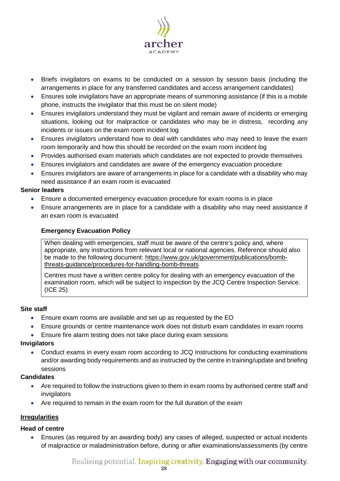

- Briefs invigilators on exams to be conducted on a session by session basis (including the arrangements in place for any transferred candidates and access arrangement candidates)
- Ensures sole invigilators have an appropriate means of summoning assistance (if this is a mobile phone, instructs the invigilator that this must be on silent mode)
- Ensures invigilators understand they must be vigilant and remain aware of incidents or emerging situations, looking out for malpractice or candidates who may be in distress, recording any incidents or issues on the exam room incident log
- Ensures invigilators understand how to deal with candidates who may need to leave the exam room temporarily and how this should be recorded on the exam room incident log
- Provides authorised exam materials which candidates are not expected to provide themselves
- Ensures invigilators and candidates are aware of the emergency evacuation procedure
- Ensures invigilators are aware of arrangements in place for a candidate with a disability who may need assistance if an exam room is evacuated

## **Senior leaders**

- Ensure a documented emergency evacuation procedure for exam rooms is in place
- <span id="page-28-0"></span>• Ensure arrangements are in place for a candidate with a disability who may need assistance if an exam room is evacuated

## **Emergency Evacuation Policy**

When dealing with emergencies, staff must be aware of the centre's policy and, where appropriate, any instructions from relevant local or national agencies. Reference should also be made to the following document: [https://www.gov.uk/government/publications/bomb](https://www.gov.uk/government/publications/bomb-threats-guidance/procedures-for-handling-bomb-threats)[threats-guidance/procedures-for-handling-bomb-threats](https://www.gov.uk/government/publications/bomb-threats-guidance/procedures-for-handling-bomb-threats)

Centres must have a written centre policy for dealing with an emergency evacuation of the examination room, which will be subject to inspection by the JCQ Centre Inspection Service. [\(ICE](http://www.jcq.org.uk/exams-office/ice---instructions-for-conducting-examinations) 25)

## **Site staff**

- Ensure exam rooms are available and set up as requested by the EO
- Ensure grounds or centre maintenance work does not disturb exam candidates in exam rooms
- Ensure fire alarm testing does not take place during exam sessions

## **Invigilators**

• Conduct exams in every exam room according to JCQ Instructions for conducting examinations and/or awarding body requirements and as instructed by the centre in training/update and briefing sessions

## **Candidates**

- Are required to follow the instructions given to them in exam rooms by authorised centre staff and invigilators
- Are required to remain in the exam room for the full duration of the exam

# <span id="page-28-1"></span>**Irregularities**

## **Head of centre**

• Ensures (as required by an awarding body) any cases of alleged, suspected or actual incidents of malpractice or maladministration before, during or after examinations/assessments (by centre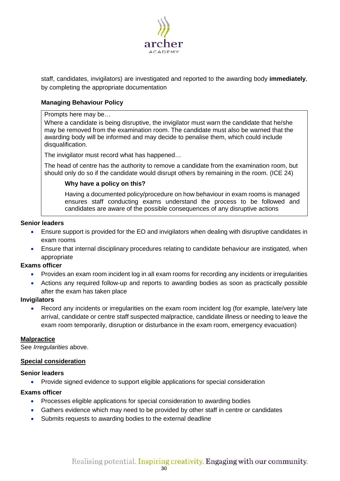

staff, candidates, invigilators) are investigated and reported to the awarding body **immediately**, by completing the appropriate documentation

# <span id="page-29-0"></span>**Managing Behaviour Policy**

## Prompts here may be…

Where a candidate is being disruptive, the invigilator must warn the candidate that he/she may be removed from the examination room. The candidate must also be warned that the awarding body will be informed and may decide to penalise them, which could include disqualification.

The invigilator must record what has happened…

The head of centre has the authority to remove a candidate from the examination room, but should only do so if the candidate would disrupt others by remaining in the room. [\(ICE](http://www.jcq.org.uk/exams-office/ice---instructions-for-conducting-examinations) 24)

## **Why have a policy on this?**

Having a documented policy/procedure on how behaviour in exam rooms is managed ensures staff conducting exams understand the process to be followed and candidates are aware of the possible consequences of any disruptive actions

#### **Senior leaders**

- Ensure support is provided for the EO and invigilators when dealing with disruptive candidates in exam rooms
- Ensure that internal disciplinary procedures relating to candidate behaviour are instigated, when appropriate

## **Exams officer**

- Provides an exam room incident log in all exam rooms for recording any incidents or irregularities
- Actions any required follow-up and reports to awarding bodies as soon as practically possible after the exam has taken place

#### **Invigilators**

• Record any incidents or irregularities on the exam room incident log (for example, late/very late arrival, candidate or centre staff suspected malpractice, candidate illness or needing to leave the exam room temporarily, disruption or disturbance in the exam room, emergency evacuation)

#### <span id="page-29-1"></span>**Malpractice**

See *Irregularities* above.

#### <span id="page-29-2"></span>**Special consideration**

#### **Senior leaders**

• Provide signed evidence to support eligible applications for special consideration

- Processes eligible applications for special consideration to awarding bodies
- Gathers evidence which may need to be provided by other staff in centre or candidates
- Submits requests to awarding bodies to the external deadline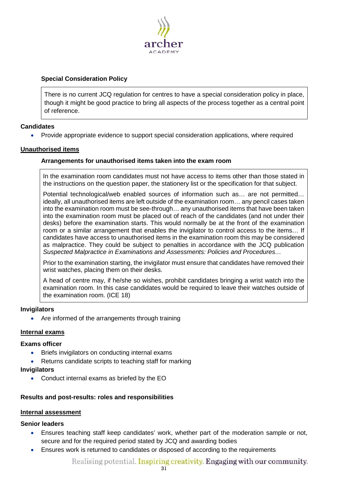

# <span id="page-30-0"></span>**Special Consideration Policy**

There is no current JCQ regulation for centres to have a special consideration policy in place, though it might be good practice to bring all aspects of the process together as a central point of reference.

## **Candidates**

• Provide appropriate evidence to support special consideration applications, where required

## <span id="page-30-2"></span><span id="page-30-1"></span>**Unauthorised items**

## **Arrangements for unauthorised items taken into the exam room**

In the examination room candidates must not have access to items other than those stated in the instructions on the question paper, the stationery list or the specification for that subject.

Potential technological/web enabled sources of information such as… are not permitted… ideally, all unauthorised items are left outside of the examination room… any pencil cases taken into the examination room must be see-through… any unauthorised items that have been taken into the examination room must be placed out of reach of the candidates (and not under their desks) before the examination starts. This would normally be at the front of the examination room or a similar arrangement that enables the invigilator to control access to the items… If candidates have access to unauthorised items in the examination room this may be considered as malpractice. They could be subject to penalties in accordance with the JCQ publication *Suspected Malpractice in Examinations and Assessments: Policies and Procedures…* 

Prior to the examination starting, the invigilator must ensure that candidates have removed their wrist watches, placing them on their desks.

A head of centre may, if he/she so wishes, prohibit candidates bringing a wrist watch into the examination room. In this case candidates would be required to leave their watches outside of the examination room. [\(ICE](http://www.jcq.org.uk/exams-office/ice---instructions-for-conducting-examinations) 18)

## **Invigilators**

• Are informed of the arrangements through training

## <span id="page-30-3"></span>**Internal exams**

## **Exams officer**

- Briefs invigilators on conducting internal exams
- Returns candidate scripts to teaching staff for marking

#### **Invigilators**

• Conduct internal exams as briefed by the EO

## <span id="page-30-4"></span>**Results and post-results: roles and responsibilities**

## <span id="page-30-5"></span>**Internal assessment**

## **Senior leaders**

- Ensures teaching staff keep candidates' work, whether part of the moderation sample or not, secure and for the required period stated by JCQ and awarding bodies
- Ensures work is returned to candidates or disposed of according to the requirements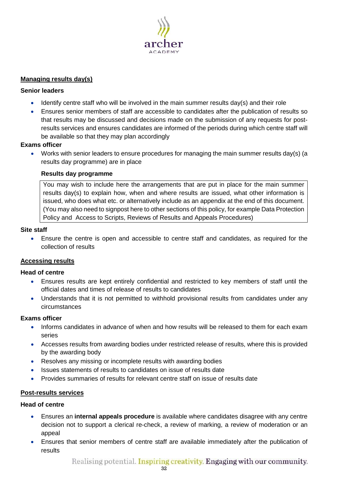

## <span id="page-31-0"></span>**Managing results day(s)**

## **Senior leaders**

- Identify centre staff who will be involved in the main summer results day(s) and their role
- Ensures senior members of staff are accessible to candidates after the publication of results so that results may be discussed and decisions made on the submission of any requests for postresults services and ensures candidates are informed of the periods during which centre staff will be available so that they may plan accordingly

## **Exams officer**

<span id="page-31-1"></span>• Works with senior leaders to ensure procedures for managing the main summer results day(s) (a results day programme) are in place

## **Results day programme**

You may wish to include here the arrangements that are put in place for the main summer results day(s) to explain how, when and where results are issued, what other information is issued, who does what etc. or alternatively include as an appendix at the end of this document. (You may also need to signpost here to other sections of this policy, for example Data Protection Policy and Access to Scripts, Reviews of Results and Appeals Procedures)

## **Site staff**

• Ensure the centre is open and accessible to centre staff and candidates, as required for the collection of results

## <span id="page-31-2"></span>**Accessing results**

## **Head of centre**

- Ensures results are kept entirely confidential and restricted to key members of staff until the official dates and times of release of results to candidates
- Understands that it is not permitted to withhold provisional results from candidates under any circumstances

## **Exams officer**

- Informs candidates in advance of when and how results will be released to them for each exam series
- Accesses results from awarding bodies under restricted release of results, where this is provided by the awarding body
- Resolves any missing or incomplete results with awarding bodies
- Issues statements of results to candidates on issue of results date
- Provides summaries of results for relevant centre staff on issue of results date

## <span id="page-31-3"></span>**Post-results services**

## **Head of centre**

- Ensures an **internal appeals procedure** is available where candidates disagree with any centre decision not to support a clerical re-check, a review of marking, a review of moderation or an appeal
- Ensures that senior members of centre staff are available immediately after the publication of results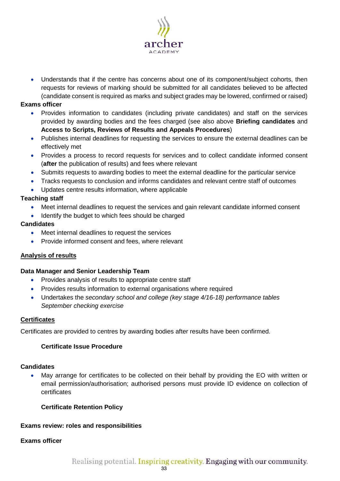

• Understands that if the centre has concerns about one of its component/subject cohorts, then requests for reviews of marking should be submitted for all candidates believed to be affected (candidate consent is required as marks and subject grades may be lowered, confirmed or raised)

## **Exams officer**

- Provides information to candidates (including private candidates) and staff on the services provided by awarding bodies and the fees charged (see also above **Briefing candidates** and **Access to Scripts, Reviews of Results and Appeals Procedures**)
- Publishes internal deadlines for requesting the services to ensure the external deadlines can be effectively met
- Provides a process to record requests for services and to collect candidate informed consent (**after** the publication of results) and fees where relevant
- Submits requests to awarding bodies to meet the external deadline for the particular service
- Tracks requests to conclusion and informs candidates and relevant centre staff of outcomes
- Updates centre results information, where applicable

# **Teaching staff**

- Meet internal deadlines to request the services and gain relevant candidate informed consent
- Identify the budget to which fees should be charged

## **Candidates**

- Meet internal deadlines to request the services
- Provide informed consent and fees, where relevant

# <span id="page-32-0"></span>**Analysis of results**

## **Data Manager and Senior Leadership Team**

- Provides analysis of results to appropriate centre staff
- Provides results information to external organisations where required
- Undertakes the *secondary school and college (key stage 4/16-18) performance tables September checking exercise*

## <span id="page-32-1"></span>**Certificates**

<span id="page-32-2"></span>Certificates are provided to centres by awarding bodies after results have been confirmed.

## **Certificate Issue Procedure**

## **Candidates**

• May arrange for certificates to be collected on their behalf by providing the EO with written or email permission/authorisation; authorised persons must provide ID evidence on collection of certificates

## <span id="page-32-3"></span>**Certificate Retention Policy**

## <span id="page-32-4"></span>**Exams review: roles and responsibilities**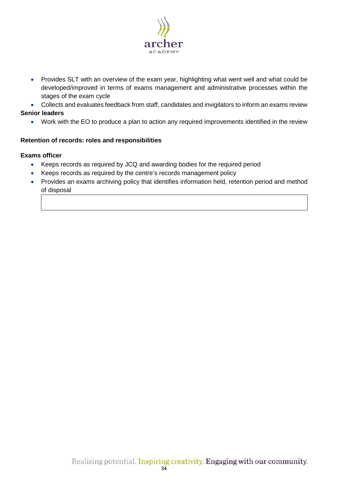

• Provides SLT with an overview of the exam year, highlighting what went well and what could be developed/improved in terms of exams management and administrative processes within the stages of the exam cycle

• Collects and evaluates feedback from staff, candidates and invigilators to inform an exams review **Senior leaders**

• Work with the EO to produce a plan to action any required improvements identified in the review

## <span id="page-33-0"></span>**Retention of records: roles and responsibilities**

- Keeps records as required by JCQ and awarding bodies for the required period
- Keeps records as required by the centre's records management policy
- Provides an exams archiving policy that identifies information held, retention period and method of disposal